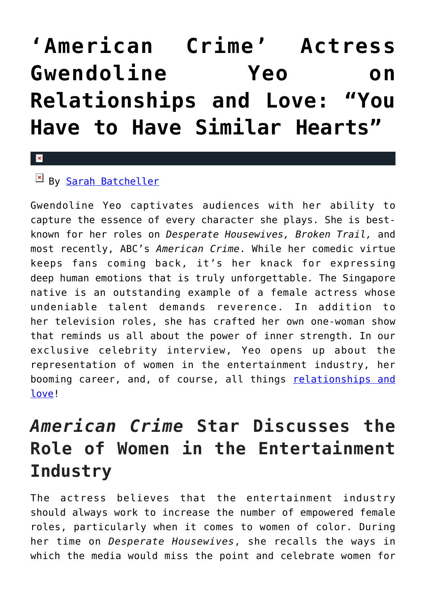# **['American Crime' Actress](https://cupidspulse.com/92508/exclusive-celebrity-interview-gwendoline-yeo-relationships-and-love/) [Gwendoline Yeo on](https://cupidspulse.com/92508/exclusive-celebrity-interview-gwendoline-yeo-relationships-and-love/) [Relationships and Love: "You](https://cupidspulse.com/92508/exclusive-celebrity-interview-gwendoline-yeo-relationships-and-love/) [Have to Have Similar Hearts"](https://cupidspulse.com/92508/exclusive-celebrity-interview-gwendoline-yeo-relationships-and-love/)**

#### $\mathbf{x}$

### By [Sarah Batcheller](http://cupidspulse.com/104594/sarah-batcheller/)

Gwendoline Yeo captivates audiences with her ability to capture the essence of every character she plays. She is bestknown for her roles on *Desperate Housewives, Broken Trail,* and most recently, ABC's *American Crime*. While her comedic virtue keeps fans coming back, it's her knack for expressing deep human emotions that is truly unforgettable. The Singapore native is an outstanding example of a female actress whose undeniable talent demands reverence. In addition to her television roles, she has crafted her own one-woman show that reminds us all about the power of inner strength. In our exclusive celebrity interview, Yeo opens up about the representation of women in the entertainment industry, her booming career, and, of course, all things [relationships and](http://cupidspulse.com/celebrity-relationships/) [love](http://cupidspulse.com/celebrity-relationships/)!

## *American Crime* **Star Discusses the Role of Women in the Entertainment Industry**

The actress believes that the entertainment industry should always work to increase the number of empowered female roles, particularly when it comes to women of color. During her time on *Desperate Housewives*, she recalls the ways in which the media would miss the point and celebrate women for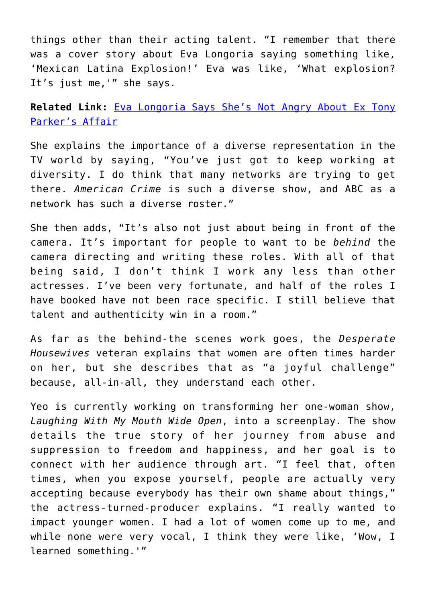things other than their acting talent. "I remember that there was a cover story about Eva Longoria saying something like, 'Mexican Latina Explosion!' Eva was like, 'What explosion? It's just me,'" she says.

**Related Link:** [Eva Longoria Says She's Not Angry About Ex Tony](http://cupidspulse.com/23163/eva-longoria-says-not-angry-about-ex-tony-parkers-affair-new-couple-eduardo-cruz/) [Parker's Affair](http://cupidspulse.com/23163/eva-longoria-says-not-angry-about-ex-tony-parkers-affair-new-couple-eduardo-cruz/)

She explains the importance of a diverse representation in the TV world by saying, "You've just got to keep working at diversity. I do think that many networks are trying to get there. *American Crime* is such a diverse show, and ABC as a network has such a diverse roster."

She then adds, "It's also not just about being in front of the camera. It's important for people to want to be *behind* the camera directing and writing these roles. With all of that being said, I don't think I work any less than other actresses. I've been very fortunate, and half of the roles I have booked have not been race specific. I still believe that talent and authenticity win in a room."

As far as the behind-the scenes work goes, the *Desperate Housewives* veteran explains that women are often times harder on her, but she describes that as "a joyful challenge" because, all-in-all, they understand each other.

Yeo is currently working on transforming her one-woman show, *Laughing With My Mouth Wide Open*, into a screenplay. The show details the true story of her journey from abuse and suppression to freedom and happiness, and her goal is to connect with her audience through art. "I feel that, often times, when you expose yourself, people are actually very accepting because everybody has their own shame about things," the actress-turned-producer explains. "I really wanted to impact younger women. I had a lot of women come up to me, and while none were very vocal, I think they were like, 'Wow, I learned something.'"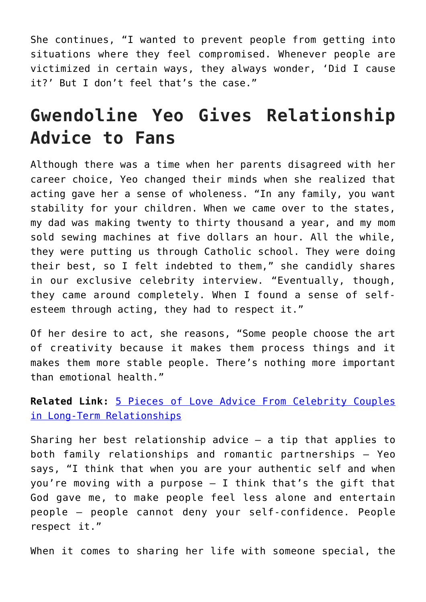She continues, "I wanted to prevent people from getting into situations where they feel compromised. Whenever people are victimized in certain ways, they always wonder, 'Did I cause it?' But I don't feel that's the case."

## **Gwendoline Yeo Gives Relationship Advice to Fans**

Although there was a time when her parents disagreed with her career choice, Yeo changed their minds when she realized that acting gave her a sense of wholeness. "In any family, you want stability for your children. When we came over to the states, my dad was making twenty to thirty thousand a year, and my mom sold sewing machines at five dollars an hour. All the while, they were putting us through Catholic school. They were doing their best, so I felt indebted to them," she candidly shares in our exclusive celebrity interview. "Eventually, though, they came around completely. When I found a sense of selfesteem through acting, they had to respect it."

Of her desire to act, she reasons, "Some people choose the art of creativity because it makes them process things and it makes them more stable people. There's nothing more important than emotional health."

**Related Link:** [5 Pieces of Love Advice From Celebrity Couples](http://cupidspulse.com/90473/love-advice-celebrity-couples-long-term-relationships-and-love/) [in Long-Term Relationships](http://cupidspulse.com/90473/love-advice-celebrity-couples-long-term-relationships-and-love/)

Sharing her best relationship advice — a tip that applies to both family relationships and romantic partnerships — Yeo says, "I think that when you are your authentic self and when you're moving with a purpose  $-$  I think that's the gift that God gave me, to make people feel less alone and entertain people — people cannot deny your self-confidence. People respect it."

When it comes to sharing her life with someone special, the